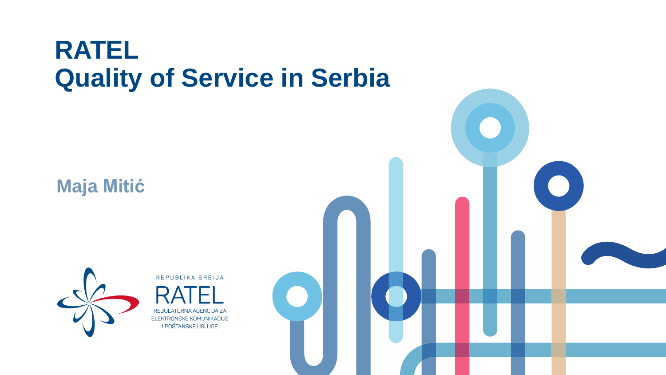## **RATEL Quality of Service in Serbia**

**Maja Mitić**



REPUBLIKA SRBIJA

**ELEKTRONSKE KOMUNIKACIJE** I POŠTANSKE USLUGE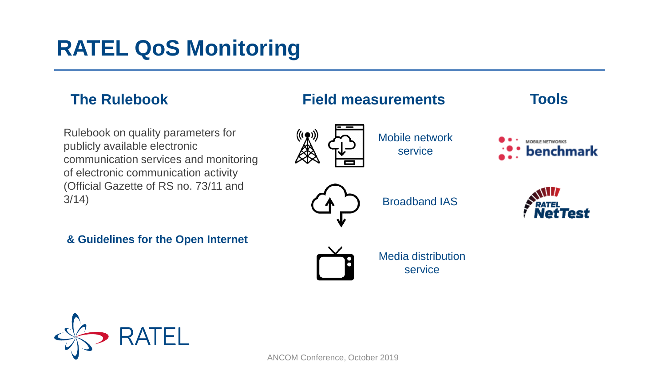## **RATEL QoS Monitoring**

Rulebook on quality parameters for publicly available electronic communication services and monitoring of electronic communication activity (Official Gazette of RS no. 73/11 and 3/14)

**& Guidelines for the Open Internet**





Mobile network service





Broadband IAS





Media distribution service

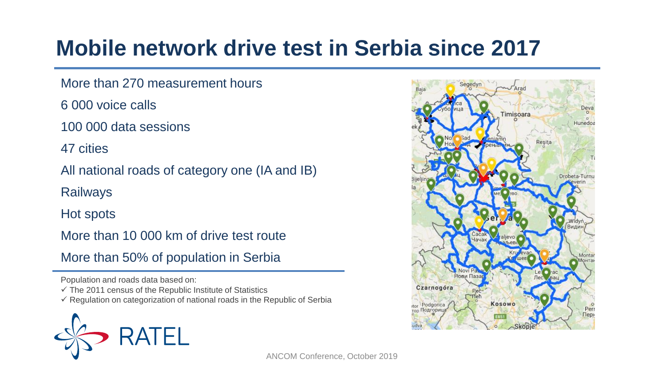## **Mobile network drive test in Serbia since 2017**

- More than 270 measurement hours
- 6 000 voice calls
- 100 000 data sessions
- 47 cities
- All national roads of category one (IA and IB)
- Railways
- Hot spots
- More than 10 000 km of drive test route
- More than 50% of population in Serbia
- Population and roads data based on:
- $\checkmark$  The 2011 census of the Republic Institute of Statistics
- $\checkmark$  Regulation on categorization of national roads in the Republic of Serbia



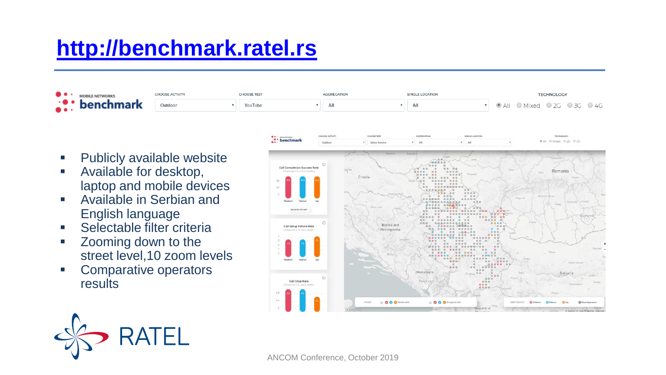## **[http://benchmark.ratel.rs](http://benchmark.ratel.rs/)**

| $\bullet\bullet\cdot$<br><b>MOBILE NETWORKS</b>             | CHOOSE ACTIVITY | HOOSE TEST | SINGLE LOCATION | <b>TECHNOLOGY</b>                                                      |
|-------------------------------------------------------------|-----------------|------------|-----------------|------------------------------------------------------------------------|
| $\mathbb{R}^{\bullet}$ benchmark<br>$\bullet \bullet \cdot$ | Outdoor         | YouTube    |                 | $\bullet$ $\bullet$ All $\circ$ Mixed $\circ$ 2G $\circ$ 3G $\circ$ 4G |

- Publicly available website
- Available for desktop, laptop and mobile devices
- Available in Serbian and English language
- **EXECUTE:** Selectable filter criteria
- Zooming down to the street level,10 zoom levels
- Comparative operators **results**



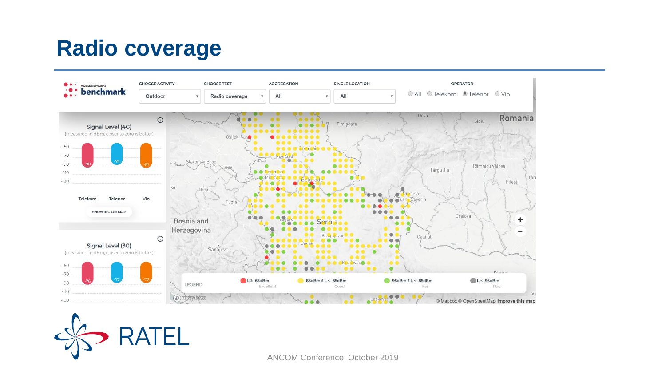## **Radio coverage**



ΈL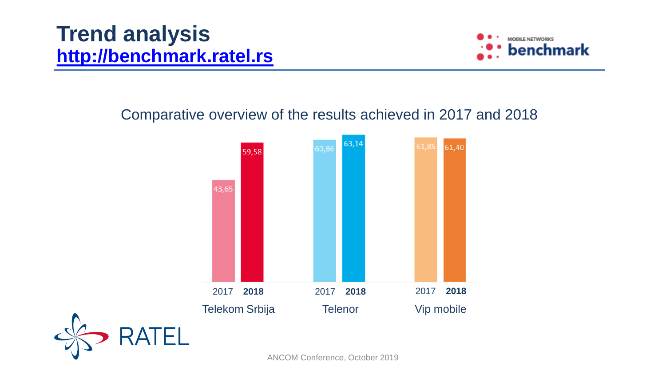### **Trend analysis [http://benchmark.ratel.rs](http://benchmark.ratel.rs/)**



#### Comparative overview of the results achieved in 2017 and 2018



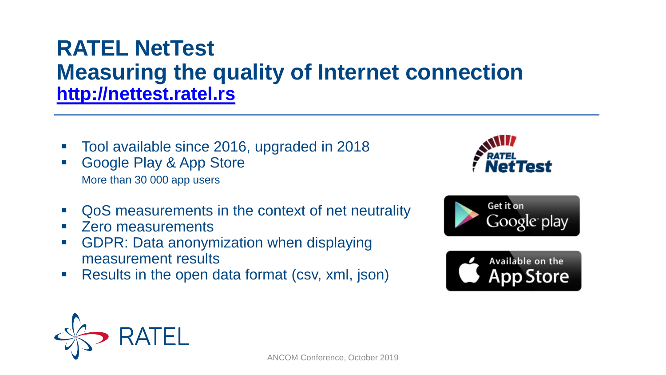## **RATEL NetTest Measuring the quality of Internet connection [http://nettest.ratel.rs](http://emf.ratel.rs/)**

- Tool available since 2016, upgraded in 2018
- Google Play & App Store More than 30 000 app users



- QoS measurements in the context of net neutrality
- Zero measurements
- GDPR: Data anonymization when displaying measurement results
- Results in the open data format (csv, xml, json)





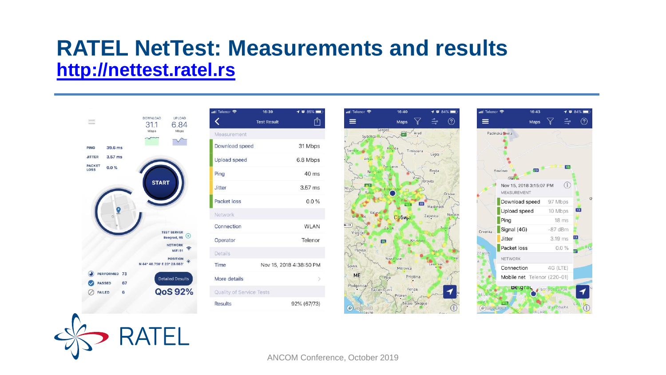### **RATEL NetTest: Measurements and results [http://nettest.ratel.rs](http://emf.ratel.rs/)**



FL.